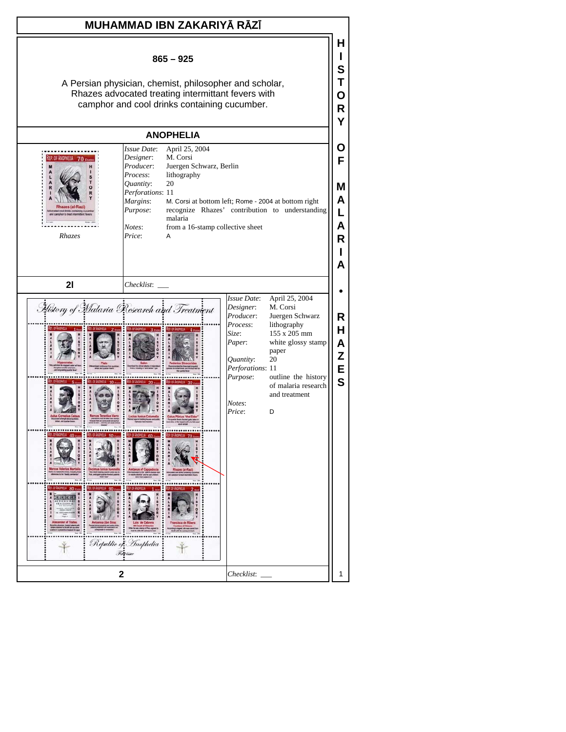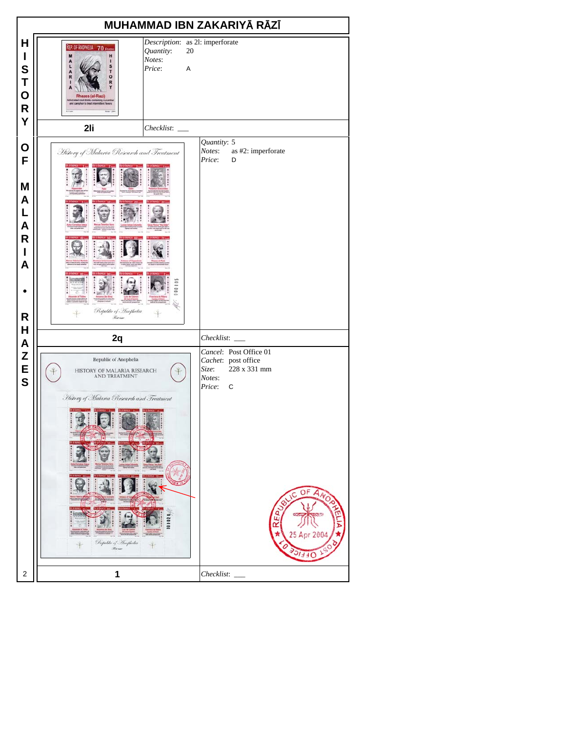|                                                           |                                                                                                                                                                |                                                                  |         |                                 | MUHAMMAD IBN ZAKARIYĀ RĀZĪ                                                                                          |
|-----------------------------------------------------------|----------------------------------------------------------------------------------------------------------------------------------------------------------------|------------------------------------------------------------------|---------|---------------------------------|---------------------------------------------------------------------------------------------------------------------|
| Н<br>I<br>S<br>T<br>$\mathbf O$<br>${\sf R}$              | REP. OF ANOPHELIA 70 FEVERS<br>н<br>٠<br>S<br>т<br>o<br>R<br>Rhazes (al-Razi)<br>d cool drinks contai<br>or to treat int                                       | Description: as 21: imperforate<br>Quantity:<br>Notes:<br>Price: | 20<br>A |                                 |                                                                                                                     |
| Y                                                         | 2li                                                                                                                                                            | Checklist:                                                       |         |                                 |                                                                                                                     |
| O<br>F<br>M<br>A<br>L<br>A<br>$\mathsf{R}$<br>ı<br>A<br>R | History of Malaria Research and Treatment<br>Republic of Anophelia<br><b>Red Sam</b>                                                                           |                                                                  |         | Quantity: 5<br>Notes:<br>Price: | as #2: imperforate<br>D                                                                                             |
| H<br>$\pmb{\mathsf{A}}$                                   | 2q                                                                                                                                                             |                                                                  |         | Checklist:                      |                                                                                                                     |
| Z<br>E<br>$\mathbf{s}$                                    | Republic of Anophelia<br>HISTORY OF MALARIA RESEARCH<br>AND TREATMENT<br>History of Malaria Research and Treatment<br>Republic of Anophelia<br><b>Resident</b> |                                                                  |         | Size:<br>Notes:<br>Price:       | Cancel: Post Office 01<br>Cachet: post office<br>228 x 331 mm<br>C<br>OF<br>$A_{N_O}$<br>١C<br>Q<br>ш<br>200<br>J H |
| 2                                                         | 1                                                                                                                                                              |                                                                  |         | Checklist: _                    |                                                                                                                     |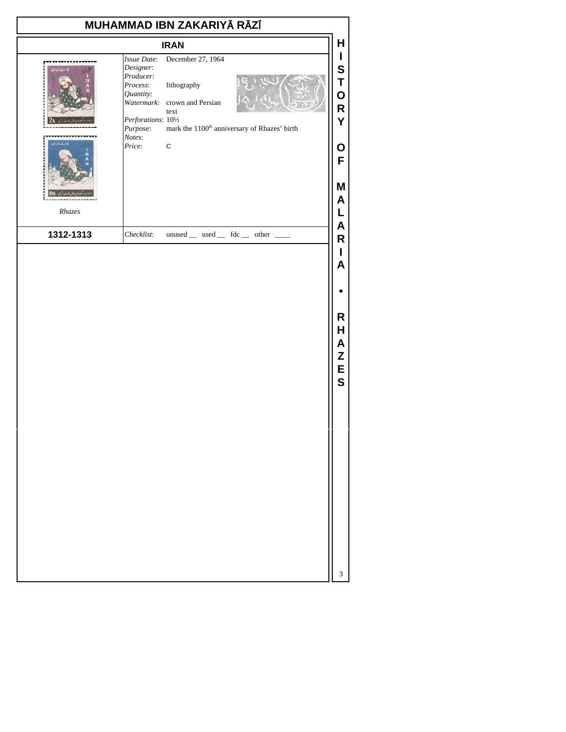|           |                                                                                                   | <b>IRAN</b>                                                              |                                                          | Н                                     |
|-----------|---------------------------------------------------------------------------------------------------|--------------------------------------------------------------------------|----------------------------------------------------------|---------------------------------------|
|           | Issue Date:<br>Designer:<br>Producer:<br>Process:<br>Quantity:<br>Perforations: 101/2<br>Purpose: | December 27, 1964<br>lithography<br>Watermark: crown and Persian<br>text | mark the $1100^{\text{th}}$ anniversary of Rhazes' birth | $\mathbf{I}$<br>S<br>T<br>O<br>R<br>Y |
|           | Notes:<br>Price:                                                                                  | $\mathsf C$                                                              |                                                          | O<br>F                                |
| $R$ hazes |                                                                                                   |                                                                          |                                                          | M<br>A<br>L                           |
| 1312-1313 | Checklist:                                                                                        | $unused$ __ used __ fdc __ other __                                      |                                                          | A<br>$\mathsf R$                      |
|           |                                                                                                   |                                                                          |                                                          | L<br>A                                |
|           |                                                                                                   |                                                                          |                                                          |                                       |
|           |                                                                                                   |                                                                          |                                                          | R                                     |
|           |                                                                                                   |                                                                          |                                                          | н                                     |
|           |                                                                                                   |                                                                          |                                                          | A<br>Z                                |
|           |                                                                                                   |                                                                          |                                                          | E<br>$\mathbf S$                      |
|           |                                                                                                   |                                                                          |                                                          |                                       |
|           |                                                                                                   |                                                                          |                                                          |                                       |
|           |                                                                                                   |                                                                          |                                                          |                                       |
|           |                                                                                                   |                                                                          |                                                          |                                       |
|           |                                                                                                   |                                                                          |                                                          |                                       |
|           |                                                                                                   |                                                                          |                                                          |                                       |
|           |                                                                                                   |                                                                          |                                                          |                                       |
|           |                                                                                                   |                                                                          |                                                          |                                       |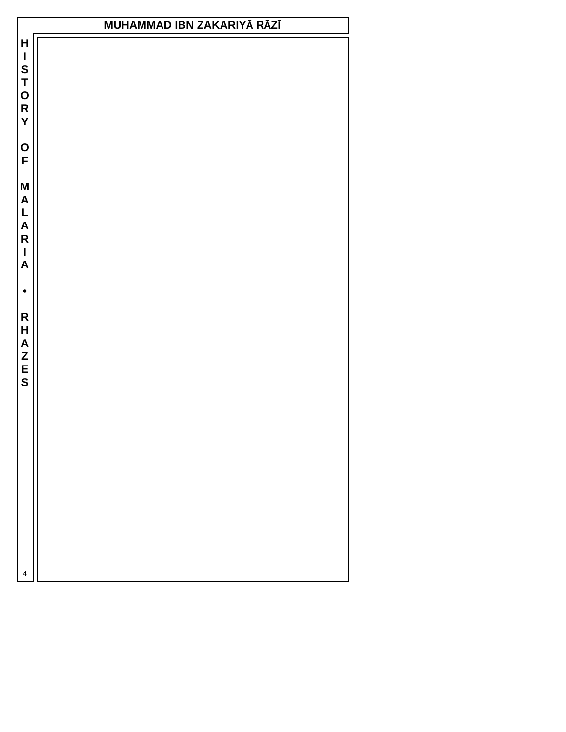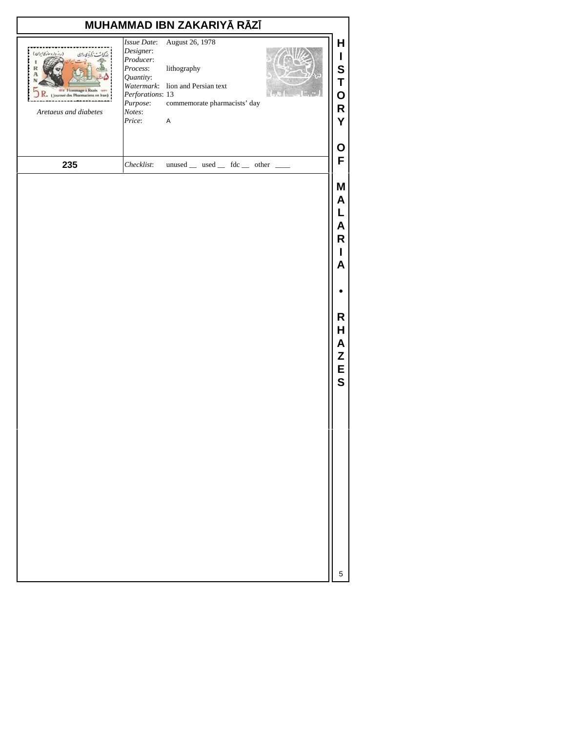# **MUHAMMAD IBN ZAKARIY**} **R**}**Z**¦

| (روز دار دسازی ایران)<br>ز <i>رگذشت نارای دان</i><br>1978 Hommage à Razès nerv<br>(Journeé des Pharmaciens en Iran)<br>Aretaeus and diabetes | <i>Issue Date:</i><br>Designer:<br>Producer:<br>Process:<br><i>Ouantity:</i><br>Perforations: 13<br><i>Purpose:</i><br>Notes:<br>Price: | August 26, 1978<br>lithography<br><i>Watermark</i> : lion and Persian text<br>commemorate pharmacists' day<br>A | Н<br>S<br>n<br>R<br>$\Box$ |
|----------------------------------------------------------------------------------------------------------------------------------------------|-----------------------------------------------------------------------------------------------------------------------------------------|-----------------------------------------------------------------------------------------------------------------|----------------------------|
| 235                                                                                                                                          | Checklist:                                                                                                                              | unused used fdc other                                                                                           | F                          |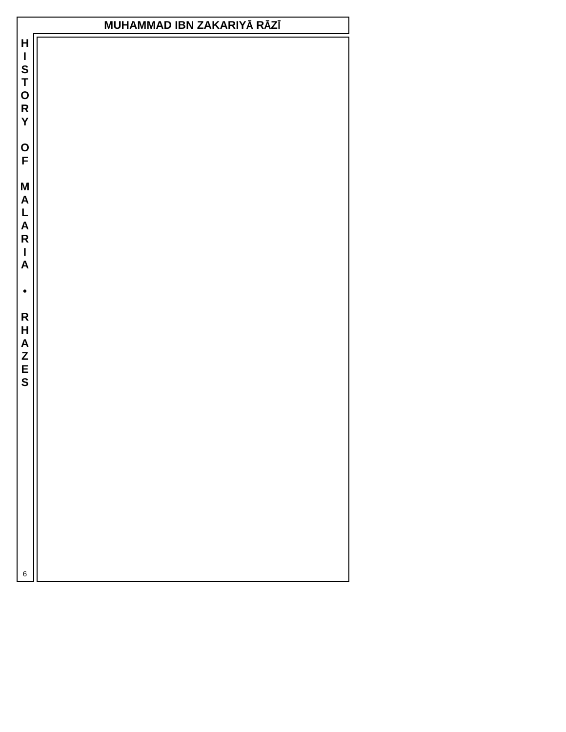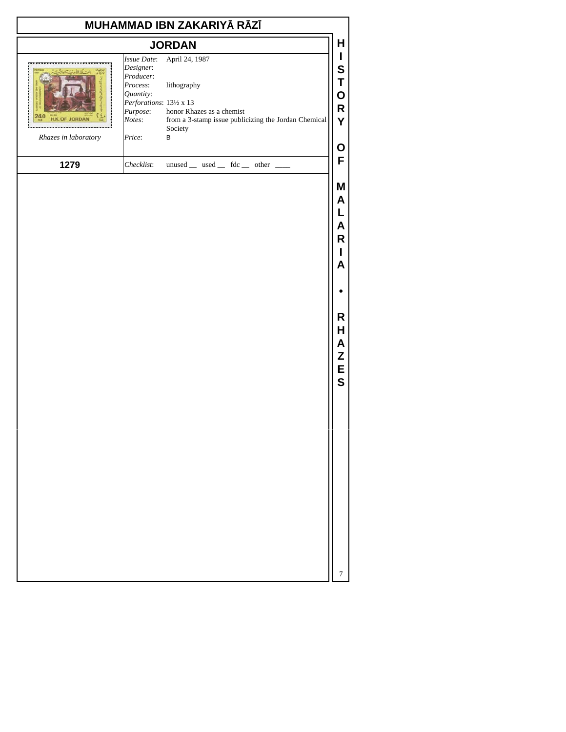| MUHAMMAD IBN ZAKARIYĀ RĀZĪ                    |                                                                                                                                                                        |                                                                                                                                    |             |  |  |
|-----------------------------------------------|------------------------------------------------------------------------------------------------------------------------------------------------------------------------|------------------------------------------------------------------------------------------------------------------------------------|-------------|--|--|
| <b>JORDAN</b>                                 |                                                                                                                                                                        |                                                                                                                                    |             |  |  |
| <b>H.K. OF JORDAN</b><br>Rhazes in laboratory | <i>Issue Date:</i><br>Designer:<br>Producer:<br><i>Process:</i><br><i>Ouantity:</i><br><i>Perforations</i> : $13\frac{1}{2} \times 13$<br>Purpose:<br>Notes:<br>Price: | April 24, 1987<br>lithography<br>honor Rhazes as a chemist<br>from a 3-stamp issue publicizing the Jordan Chemical<br>Society<br>B | S<br>R<br>ν |  |  |
| 1279                                          | Checklist:                                                                                                                                                             | unused used fdc other                                                                                                              | F           |  |  |

**O M A L A R I A • R H A Z E**

**S**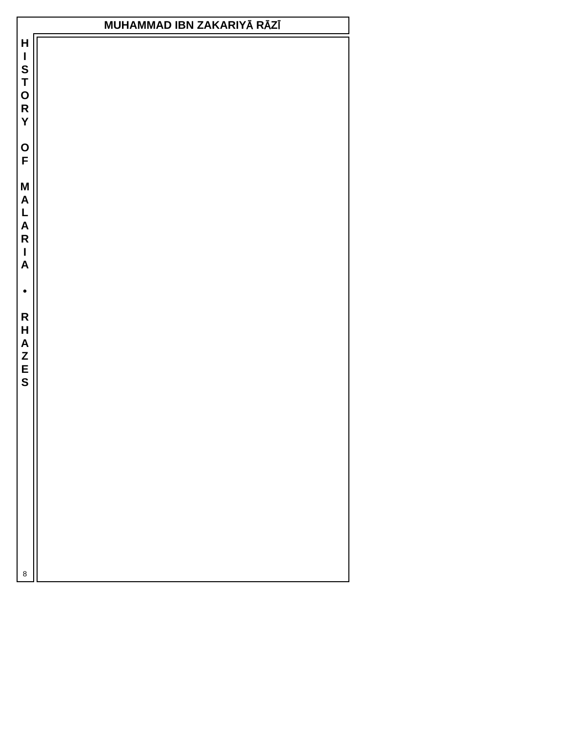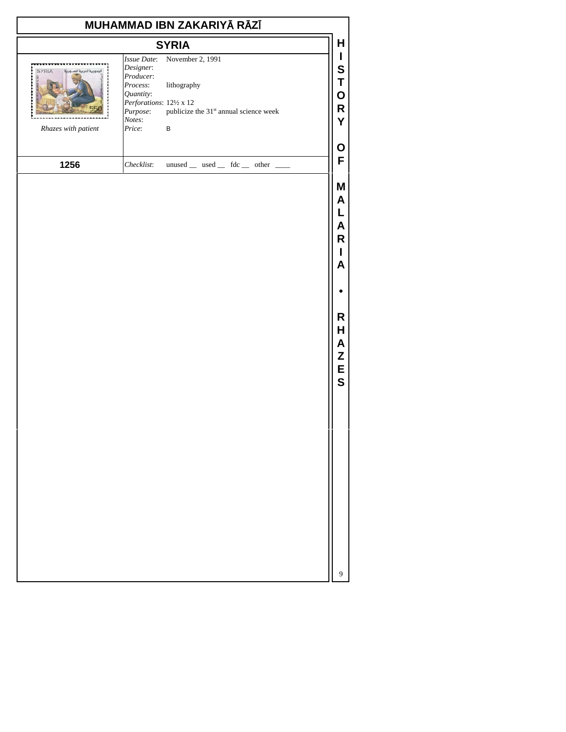|                                                          |                                                                                                                                 | <b>SYRIA</b>                                                                               |  |
|----------------------------------------------------------|---------------------------------------------------------------------------------------------------------------------------------|--------------------------------------------------------------------------------------------|--|
| تجمورية العربية السنورية<br>SYRIA<br>Rhazes with patient | <i>Issue Date:</i><br>Designer:<br>Producer:<br>Process:<br>Quantity:<br>Perforations: 12½ x 12<br>Purpose:<br>Notes:<br>Price: | November 2, 1991<br>lithography<br>publicize the 31 <sup>st</sup> annual science week<br>B |  |
| 1256                                                     | Checklist:                                                                                                                      | $unused$ used fdc  then                                                                    |  |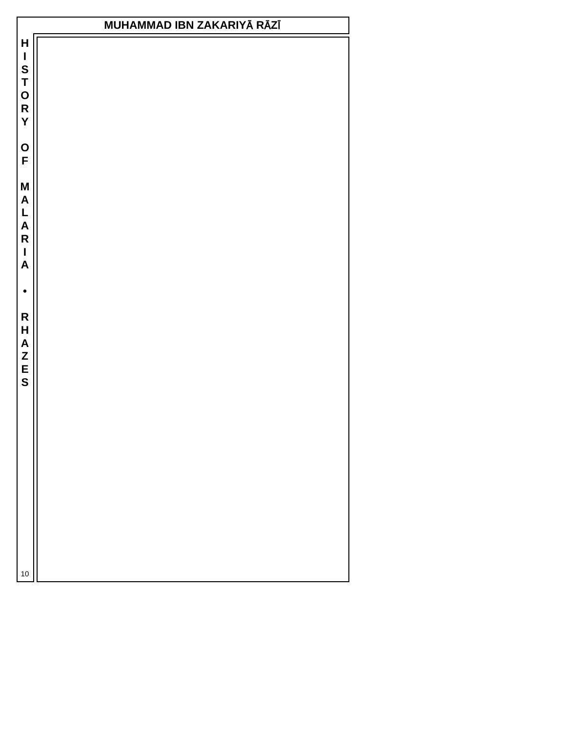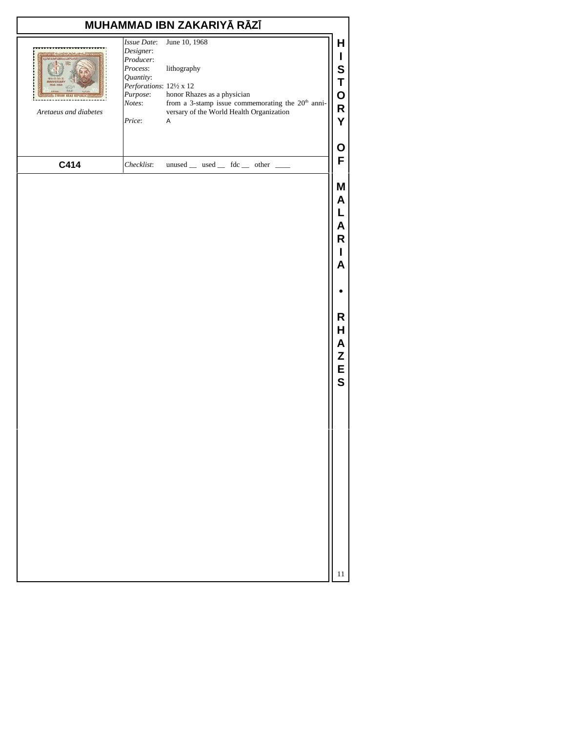# **MUHAMMAD IBN ZAKARIY**} **R**}**Z**¦

| Aretaeus and diabetes | <i>Issue Date:</i><br>Designer:<br>Producer:<br><i>Process:</i><br>Ouantity:<br><i>Perforations</i> : $12\frac{1}{2} \times 12$<br>Purpose:<br>Notes:<br>Price: | June 10, 1968<br>lithography<br>honor Rhazes as a physician<br>from a 3-stamp issue commemorating the $20th$ anni-<br>versary of the World Health Organization<br>A | Н<br>O<br>R<br>Ω |
|-----------------------|-----------------------------------------------------------------------------------------------------------------------------------------------------------------|---------------------------------------------------------------------------------------------------------------------------------------------------------------------|------------------|
| C414                  | Checklist:                                                                                                                                                      | unused used fdc other                                                                                                                                               | F                |

**Y O F M A L A R I A • R H A Z E S**